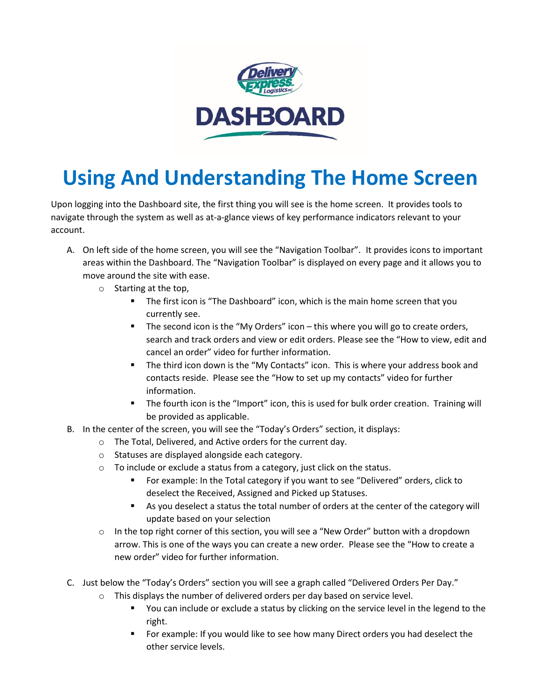

## **Using And Understanding The Home Screen**

Upon logging into the Dashboard site, the first thing you will see is the home screen. It provides tools to navigate through the system as well as at-a-glance views of key performance indicators relevant to your account.

- A. On left side of the home screen, you will see the "Navigation Toolbar". It provides icons to important areas within the Dashboard. The "Navigation Toolbar" is displayed on every page and it allows you to move around the site with ease.
	- o Starting at the top,
		- **The first icon is "The Dashboard" icon, which is the main home screen that you** currently see.
		- The second icon is the "My Orders" icon this where you will go to create orders, search and track orders and view or edit orders. Please see the "How to view, edit and cancel an order" video for further information.
		- The third icon down is the "My Contacts" icon. This is where your address book and contacts reside. Please see the "How to set up my contacts" video for further information.
		- The fourth icon is the "Import" icon, this is used for bulk order creation. Training will be provided as applicable.
- B. In the center of the screen, you will see the "Today's Orders" section, it displays:
	- o The Total, Delivered, and Active orders for the current day.
	- o Statuses are displayed alongside each category.
	- o To include or exclude a status from a category, just click on the status.
		- For example: In the Total category if you want to see "Delivered" orders, click to deselect the Received, Assigned and Picked up Statuses.
		- As you deselect a status the total number of orders at the center of the category will update based on your selection
	- o In the top right corner of this section, you will see a "New Order" button with a dropdown arrow. This is one of the ways you can create a new order*.* Please see the "How to create a new order" video for further information.
- C. Just below the "Today's Orders" section you will see a graph called "Delivered Orders Per Day."
	- o This displays the number of delivered orders per day based on service level.
		- You can include or exclude a status by clicking on the service level in the legend to the right.
		- For example: If you would like to see how many Direct orders you had deselect the other service levels.